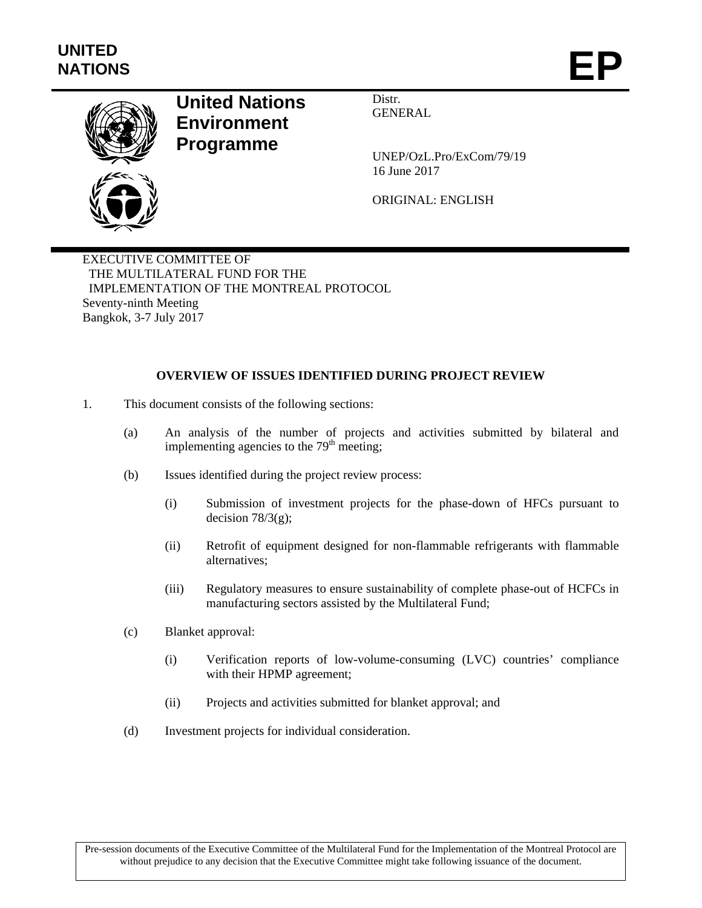

# **United Nations Environment Programme**

Distr. GENERAL

UNEP/OzL.Pro/ExCom/79/19 16 June 2017

ORIGINAL: ENGLISH

EXECUTIVE COMMITTEE OF THE MULTILATERAL FUND FOR THE IMPLEMENTATION OF THE MONTREAL PROTOCOL Seventy-ninth Meeting Bangkok, 3-7 July 2017

## **OVERVIEW OF ISSUES IDENTIFIED DURING PROJECT REVIEW**

- 1. This document consists of the following sections:
	- (a) An analysis of the number of projects and activities submitted by bilateral and implementing agencies to the  $79<sup>th</sup>$  meeting;
	- (b) Issues identified during the project review process:
		- (i) Submission of investment projects for the phase-down of HFCs pursuant to decision  $78/3(g)$ ;
		- (ii) Retrofit of equipment designed for non-flammable refrigerants with flammable alternatives;
		- (iii) Regulatory measures to ensure sustainability of complete phase-out of HCFCs in manufacturing sectors assisted by the Multilateral Fund;
	- (c) Blanket approval:
		- (i) Verification reports of low-volume-consuming (LVC) countries' compliance with their HPMP agreement;
		- (ii) Projects and activities submitted for blanket approval; and
	- (d) Investment projects for individual consideration.

Pre-session documents of the Executive Committee of the Multilateral Fund for the Implementation of the Montreal Protocol are without prejudice to any decision that the Executive Committee might take following issuance of the document.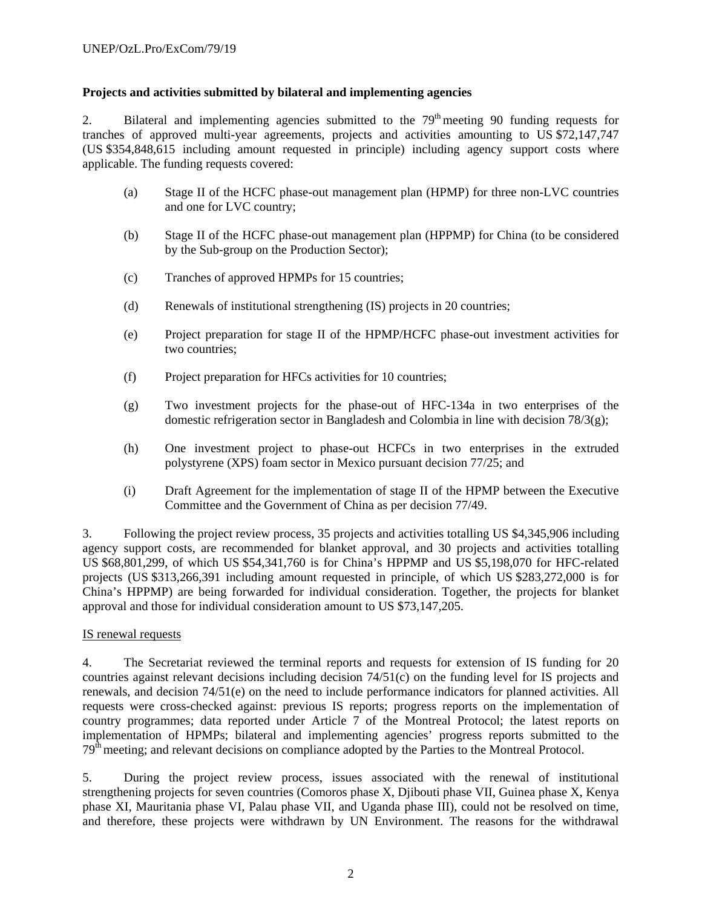### **Projects and activities submitted by bilateral and implementing agencies**

2. Bilateral and implementing agencies submitted to the  $79<sup>th</sup>$  meeting 90 funding requests for tranches of approved multi-year agreements, projects and activities amounting to US \$72,147,747 (US \$354,848,615 including amount requested in principle) including agency support costs where applicable. The funding requests covered:

- (a) Stage II of the HCFC phase-out management plan (HPMP) for three non-LVC countries and one for LVC country;
- (b) Stage II of the HCFC phase-out management plan (HPPMP) for China (to be considered by the Sub-group on the Production Sector);
- (c) Tranches of approved HPMPs for 15 countries;
- (d) Renewals of institutional strengthening (IS) projects in 20 countries;
- (e) Project preparation for stage II of the HPMP/HCFC phase-out investment activities for two countries;
- (f) Project preparation for HFCs activities for 10 countries;
- (g) Two investment projects for the phase-out of HFC-134a in two enterprises of the domestic refrigeration sector in Bangladesh and Colombia in line with decision  $78/3(g)$ ;
- (h) One investment project to phase-out HCFCs in two enterprises in the extruded polystyrene (XPS) foam sector in Mexico pursuant decision 77/25; and
- (i) Draft Agreement for the implementation of stage II of the HPMP between the Executive Committee and the Government of China as per decision 77/49.

3. Following the project review process, 35 projects and activities totalling US \$4,345,906 including agency support costs, are recommended for blanket approval, and 30 projects and activities totalling US \$68,801,299, of which US \$54,341,760 is for China's HPPMP and US \$5,198,070 for HFC-related projects (US \$313,266,391 including amount requested in principle, of which US \$283,272,000 is for China's HPPMP) are being forwarded for individual consideration. Together, the projects for blanket approval and those for individual consideration amount to US \$73,147,205.

### IS renewal requests

4. The Secretariat reviewed the terminal reports and requests for extension of IS funding for 20 countries against relevant decisions including decision 74/51(c) on the funding level for IS projects and renewals, and decision 74/51(e) on the need to include performance indicators for planned activities. All requests were cross-checked against: previous IS reports; progress reports on the implementation of country programmes; data reported under Article 7 of the Montreal Protocol; the latest reports on implementation of HPMPs; bilateral and implementing agencies' progress reports submitted to the 79<sup>th</sup> meeting; and relevant decisions on compliance adopted by the Parties to the Montreal Protocol.

5. During the project review process, issues associated with the renewal of institutional strengthening projects for seven countries (Comoros phase X, Djibouti phase VII, Guinea phase X, Kenya phase XI, Mauritania phase VI, Palau phase VII, and Uganda phase III), could not be resolved on time, and therefore, these projects were withdrawn by UN Environment. The reasons for the withdrawal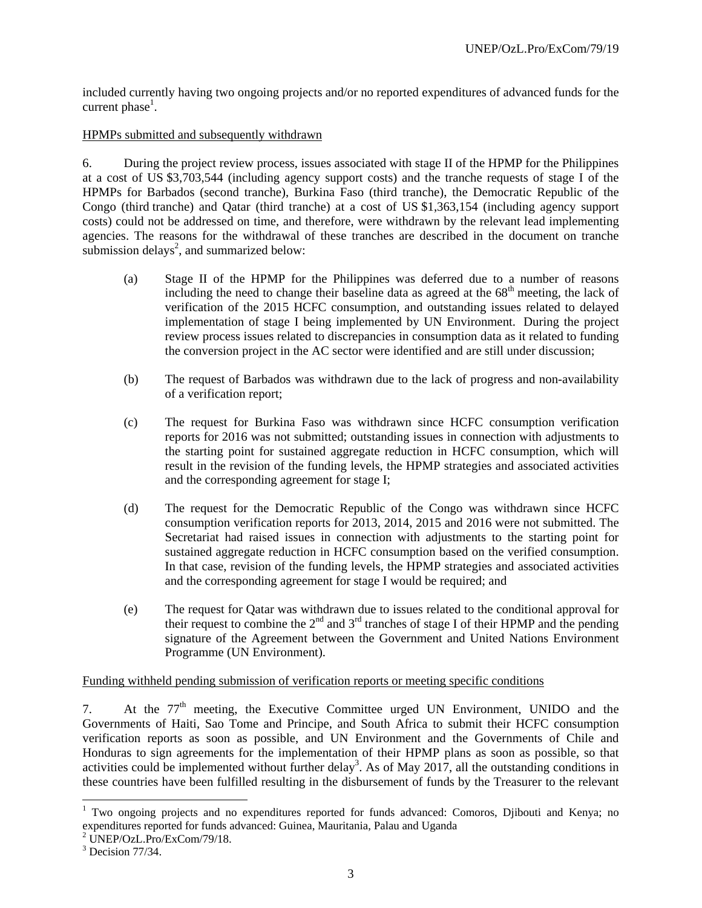included currently having two ongoing projects and/or no reported expenditures of advanced funds for the current phase<sup>1</sup>.

### HPMPs submitted and subsequently withdrawn

6. During the project review process, issues associated with stage II of the HPMP for the Philippines at a cost of US \$3,703,544 (including agency support costs) and the tranche requests of stage I of the HPMPs for Barbados (second tranche), Burkina Faso (third tranche), the Democratic Republic of the Congo (third tranche) and Qatar (third tranche) at a cost of US \$1,363,154 (including agency support costs) could not be addressed on time, and therefore, were withdrawn by the relevant lead implementing agencies. The reasons for the withdrawal of these tranches are described in the document on tranche submission delays<sup>2</sup>, and summarized below:

- (a) Stage II of the HPMP for the Philippines was deferred due to a number of reasons including the need to change their baseline data as agreed at the  $68<sup>th</sup>$  meeting, the lack of verification of the 2015 HCFC consumption, and outstanding issues related to delayed implementation of stage I being implemented by UN Environment. During the project review process issues related to discrepancies in consumption data as it related to funding the conversion project in the AC sector were identified and are still under discussion;
- (b) The request of Barbados was withdrawn due to the lack of progress and non-availability of a verification report;
- (c) The request for Burkina Faso was withdrawn since HCFC consumption verification reports for 2016 was not submitted; outstanding issues in connection with adjustments to the starting point for sustained aggregate reduction in HCFC consumption, which will result in the revision of the funding levels, the HPMP strategies and associated activities and the corresponding agreement for stage I;
- (d) The request for the Democratic Republic of the Congo was withdrawn since HCFC consumption verification reports for 2013, 2014, 2015 and 2016 were not submitted. The Secretariat had raised issues in connection with adjustments to the starting point for sustained aggregate reduction in HCFC consumption based on the verified consumption. In that case, revision of the funding levels, the HPMP strategies and associated activities and the corresponding agreement for stage I would be required; and
- (e) The request for Qatar was withdrawn due to issues related to the conditional approval for their request to combine the  $2<sup>nd</sup>$  and  $3<sup>rd</sup>$  tranches of stage I of their HPMP and the pending signature of the Agreement between the Government and United Nations Environment Programme (UN Environment).

### Funding withheld pending submission of verification reports or meeting specific conditions

7. At the  $77<sup>th</sup>$  meeting, the Executive Committee urged UN Environment, UNIDO and the Governments of Haiti, Sao Tome and Principe, and South Africa to submit their HCFC consumption verification reports as soon as possible, and UN Environment and the Governments of Chile and Honduras to sign agreements for the implementation of their HPMP plans as soon as possible, so that activities could be implemented without further delay<sup>3</sup>. As of May 2017, all the outstanding conditions in these countries have been fulfilled resulting in the disbursement of funds by the Treasurer to the relevant

The sum of the set of the set of the set of the set of the set of the set of the set of the set of the set of the set of the set of the set of the set of the set of the set of the set of the set of the set of the set of th expenditures reported for funds advanced: Guinea, Mauritania, Palau and Uganda

<sup>2</sup> UNEP/OzL.Pro/ExCom/79/18.

 $3$  Decision 77/34.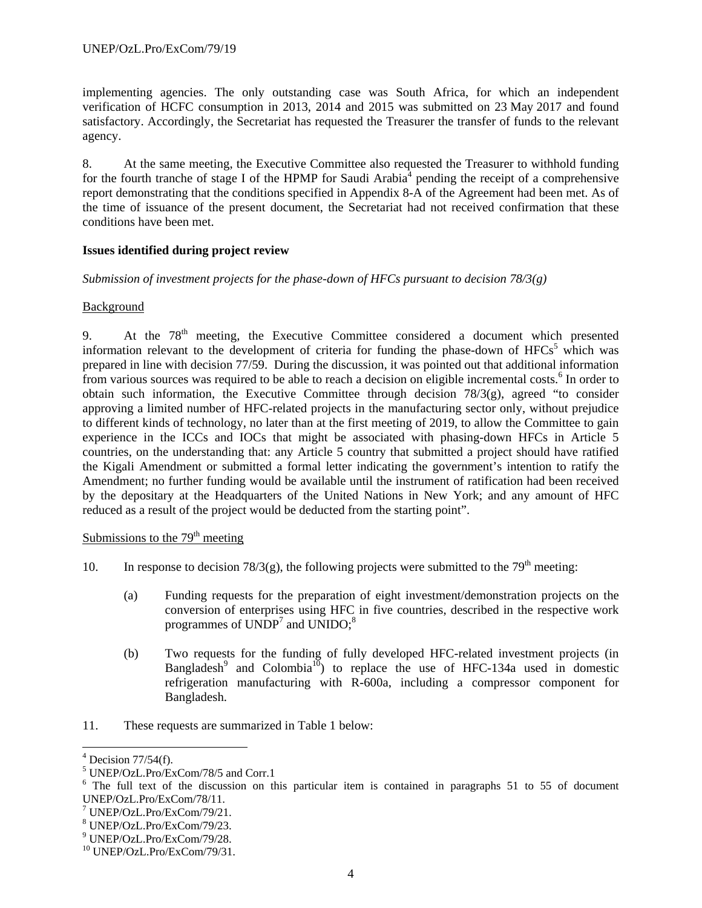implementing agencies. The only outstanding case was South Africa, for which an independent verification of HCFC consumption in 2013, 2014 and 2015 was submitted on 23 May 2017 and found satisfactory. Accordingly, the Secretariat has requested the Treasurer the transfer of funds to the relevant agency.

8. At the same meeting, the Executive Committee also requested the Treasurer to withhold funding for the fourth tranche of stage I of the HPMP for Saudi Arabia<sup>4</sup> pending the receipt of a comprehensive report demonstrating that the conditions specified in Appendix 8-A of the Agreement had been met. As of the time of issuance of the present document, the Secretariat had not received confirmation that these conditions have been met.

### **Issues identified during project review**

*Submission of investment projects for the phase-down of HFCs pursuant to decision 78/3(g)*

### **Background**

9. At the  $78<sup>th</sup>$  meeting, the Executive Committee considered a document which presented information relevant to the development of criteria for funding the phase-down of  $HFCs<sup>5</sup>$  which was prepared in line with decision 77/59. During the discussion, it was pointed out that additional information from various sources was required to be able to reach a decision on eligible incremental costs.<sup>6</sup> In order to obtain such information, the Executive Committee through decision  $78/3(g)$ , agreed "to consider approving a limited number of HFC-related projects in the manufacturing sector only, without prejudice to different kinds of technology, no later than at the first meeting of 2019, to allow the Committee to gain experience in the ICCs and IOCs that might be associated with phasing-down HFCs in Article 5 countries, on the understanding that: any Article 5 country that submitted a project should have ratified the Kigali Amendment or submitted a formal letter indicating the government's intention to ratify the Amendment; no further funding would be available until the instrument of ratification had been received by the depositary at the Headquarters of the United Nations in New York; and any amount of HFC reduced as a result of the project would be deducted from the starting point".

## Submissions to the  $79<sup>th</sup>$  meeting

- 10. In response to decision 78/3(g), the following projects were submitted to the 79<sup>th</sup> meeting:
	- (a) Funding requests for the preparation of eight investment/demonstration projects on the conversion of enterprises using HFC in five countries, described in the respective work programmes of  $\text{UNDP}^7$  and  $\text{UNIDO};^8$
	- (b) Two requests for the funding of fully developed HFC-related investment projects (in Bangladesh<sup>9</sup> and Colombia<sup>10</sup>) to replace the use of HFC-134a used in domestic refrigeration manufacturing with R-600a, including a compressor component for Bangladesh.
- 11. These requests are summarized in Table 1 below:

1

 $4$  Decision 77/54(f).

<sup>5</sup> UNEP/OzL.Pro/ExCom/78/5 and Corr.1

<sup>&</sup>lt;sup>6</sup> The full text of the discussion on this particular item is contained in paragraphs 51 to 55 of document UNEP/OzL.Pro/ExCom/78/11.

<sup>7</sup> UNEP/OzL.Pro/ExCom/79/21.

<sup>8</sup> UNEP/OzL.Pro/ExCom/79/23.

<sup>9</sup> UNEP/OzL.Pro/ExCom/79/28.

<sup>10</sup> UNEP/OzL.Pro/ExCom/79/31.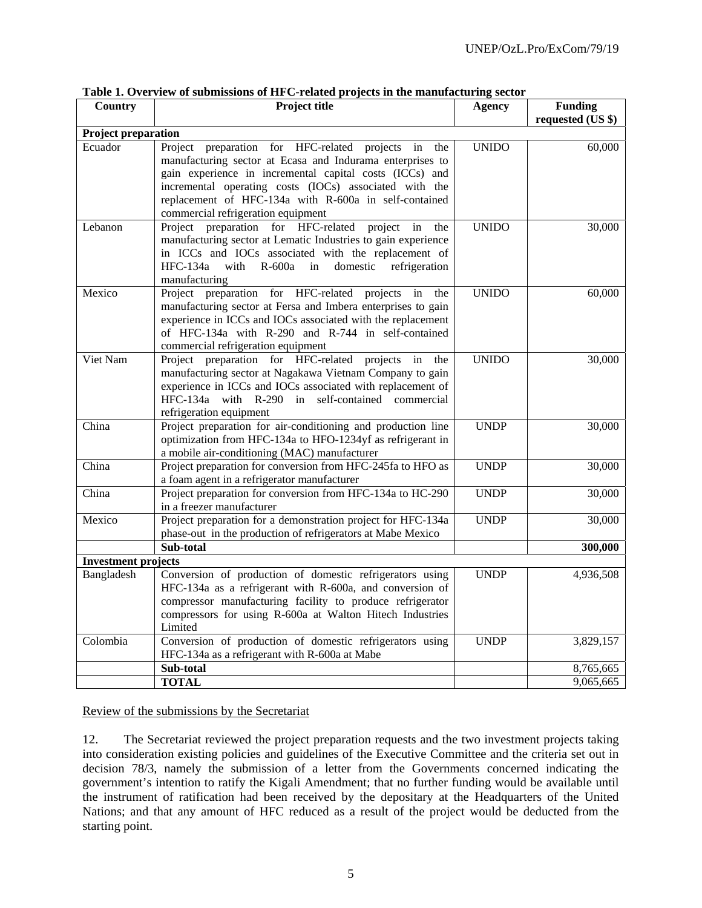| Country                    | Project title                                                                                                                                                                                                                                                                                                                              | <b>Agency</b> | <b>Funding</b>    |
|----------------------------|--------------------------------------------------------------------------------------------------------------------------------------------------------------------------------------------------------------------------------------------------------------------------------------------------------------------------------------------|---------------|-------------------|
|                            |                                                                                                                                                                                                                                                                                                                                            |               | requested (US \$) |
| Project preparation        |                                                                                                                                                                                                                                                                                                                                            |               |                   |
| Ecuador                    | Project preparation for HFC-related projects<br>in<br>the<br>manufacturing sector at Ecasa and Indurama enterprises to<br>gain experience in incremental capital costs (ICCs) and<br>incremental operating costs (IOCs) associated with the<br>replacement of HFC-134a with R-600a in self-contained<br>commercial refrigeration equipment | <b>UNIDO</b>  | 60,000            |
| Lebanon                    | preparation for<br>HFC-related<br>project<br>Project<br>in<br>the<br>manufacturing sector at Lematic Industries to gain experience<br>in ICCs and IOCs associated with the replacement of<br><b>HFC-134a</b><br>with<br>R-600a<br>domestic<br>refrigeration<br>in<br>manufacturing                                                         | <b>UNIDO</b>  | 30,000            |
| Mexico                     | Project preparation for HFC-related<br>projects<br>in<br>the<br>manufacturing sector at Fersa and Imbera enterprises to gain<br>experience in ICCs and IOCs associated with the replacement<br>of HFC-134a with R-290 and R-744 in self-contained<br>commercial refrigeration equipment                                                    | <b>UNIDO</b>  | 60,000            |
| Viet Nam                   | Project preparation for HFC-related<br>projects<br>in<br>the<br>manufacturing sector at Nagakawa Vietnam Company to gain<br>experience in ICCs and IOCs associated with replacement of<br>with R-290 in self-contained commercial<br>HFC-134a<br>refrigeration equipment                                                                   | <b>UNIDO</b>  | 30,000            |
| China                      | Project preparation for air-conditioning and production line<br>optimization from HFC-134a to HFO-1234yf as refrigerant in<br>a mobile air-conditioning (MAC) manufacturer                                                                                                                                                                 | <b>UNDP</b>   | 30,000            |
| China                      | Project preparation for conversion from HFC-245fa to HFO as<br>a foam agent in a refrigerator manufacturer                                                                                                                                                                                                                                 | <b>UNDP</b>   | 30,000            |
| China                      | Project preparation for conversion from HFC-134a to HC-290<br>in a freezer manufacturer                                                                                                                                                                                                                                                    | <b>UNDP</b>   | 30,000            |
| Mexico                     | Project preparation for a demonstration project for HFC-134a<br>phase-out in the production of refrigerators at Mabe Mexico                                                                                                                                                                                                                | <b>UNDP</b>   | 30,000            |
|                            | Sub-total                                                                                                                                                                                                                                                                                                                                  |               | 300,000           |
| <b>Investment projects</b> |                                                                                                                                                                                                                                                                                                                                            |               |                   |
| Bangladesh                 | Conversion of production of domestic refrigerators using<br>HFC-134a as a refrigerant with R-600a, and conversion of<br>compressor manufacturing facility to produce refrigerator<br>compressors for using R-600a at Walton Hitech Industries<br>Limited                                                                                   | <b>UNDP</b>   | 4,936,508         |
| Colombia                   | Conversion of production of domestic refrigerators using<br>HFC-134a as a refrigerant with R-600a at Mabe                                                                                                                                                                                                                                  | <b>UNDP</b>   | 3,829,157         |
|                            | Sub-total                                                                                                                                                                                                                                                                                                                                  |               | 8,765,665         |
|                            | <b>TOTAL</b>                                                                                                                                                                                                                                                                                                                               |               | 9,065,665         |

**Table 1. Overview of submissions of HFC-related projects in the manufacturing sector** 

Review of the submissions by the Secretariat

12. The Secretariat reviewed the project preparation requests and the two investment projects taking into consideration existing policies and guidelines of the Executive Committee and the criteria set out in decision 78/3, namely the submission of a letter from the Governments concerned indicating the government's intention to ratify the Kigali Amendment; that no further funding would be available until the instrument of ratification had been received by the depositary at the Headquarters of the United Nations; and that any amount of HFC reduced as a result of the project would be deducted from the starting point.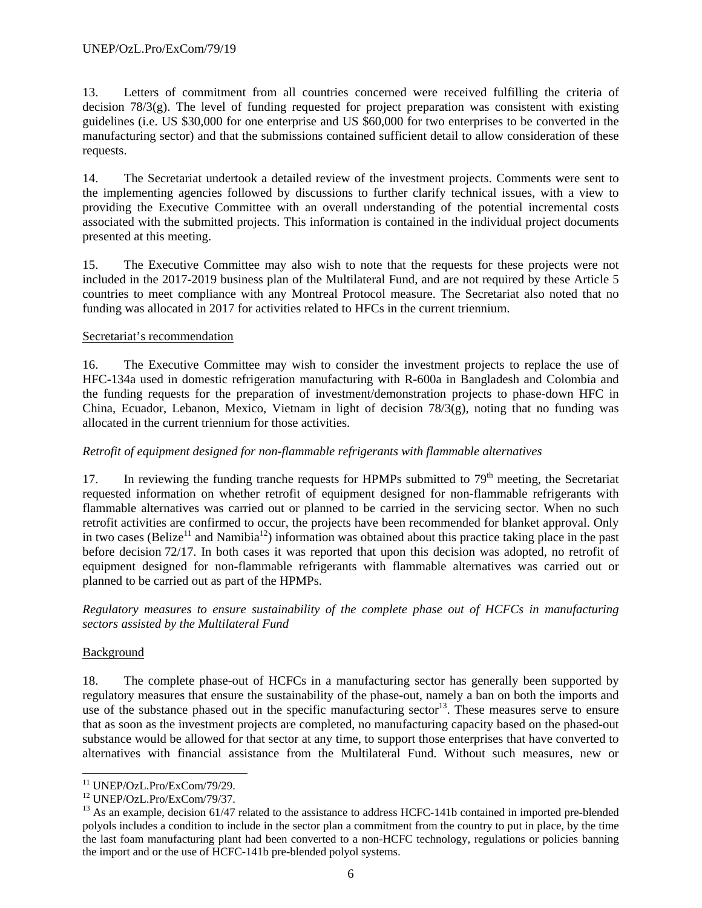13. Letters of commitment from all countries concerned were received fulfilling the criteria of decision  $78/3(g)$ . The level of funding requested for project preparation was consistent with existing guidelines (i.e. US \$30,000 for one enterprise and US \$60,000 for two enterprises to be converted in the manufacturing sector) and that the submissions contained sufficient detail to allow consideration of these requests.

14. The Secretariat undertook a detailed review of the investment projects. Comments were sent to the implementing agencies followed by discussions to further clarify technical issues, with a view to providing the Executive Committee with an overall understanding of the potential incremental costs associated with the submitted projects. This information is contained in the individual project documents presented at this meeting.

15. The Executive Committee may also wish to note that the requests for these projects were not included in the 2017-2019 business plan of the Multilateral Fund, and are not required by these Article 5 countries to meet compliance with any Montreal Protocol measure. The Secretariat also noted that no funding was allocated in 2017 for activities related to HFCs in the current triennium.

### Secretariat's recommendation

16. The Executive Committee may wish to consider the investment projects to replace the use of HFC-134a used in domestic refrigeration manufacturing with R-600a in Bangladesh and Colombia and the funding requests for the preparation of investment/demonstration projects to phase-down HFC in China, Ecuador, Lebanon, Mexico, Vietnam in light of decision  $78/3(g)$ , noting that no funding was allocated in the current triennium for those activities.

### *Retrofit of equipment designed for non-flammable refrigerants with flammable alternatives*

17. In reviewing the funding tranche requests for HPMPs submitted to  $79<sup>th</sup>$  meeting, the Secretariat requested information on whether retrofit of equipment designed for non-flammable refrigerants with flammable alternatives was carried out or planned to be carried in the servicing sector. When no such retrofit activities are confirmed to occur, the projects have been recommended for blanket approval. Only in two cases (Belize<sup>11</sup> and Namibia<sup>12</sup>) information was obtained about this practice taking place in the past before decision 72/17. In both cases it was reported that upon this decision was adopted, no retrofit of equipment designed for non-flammable refrigerants with flammable alternatives was carried out or planned to be carried out as part of the HPMPs.

*Regulatory measures to ensure sustainability of the complete phase out of HCFCs in manufacturing sectors assisted by the Multilateral Fund* 

## Background

1

18. The complete phase-out of HCFCs in a manufacturing sector has generally been supported by regulatory measures that ensure the sustainability of the phase-out, namely a ban on both the imports and use of the substance phased out in the specific manufacturing sector<sup>13</sup>. These measures serve to ensure that as soon as the investment projects are completed, no manufacturing capacity based on the phased-out substance would be allowed for that sector at any time, to support those enterprises that have converted to alternatives with financial assistance from the Multilateral Fund. Without such measures, new or

<sup>&</sup>lt;sup>11</sup> UNEP/OzL.Pro/ExCom/79/29.

<sup>12</sup> UNEP/OzL.Pro/ExCom/79/37.

<sup>&</sup>lt;sup>13</sup> As an example, decision 61/47 related to the assistance to address HCFC-141b contained in imported pre-blended polyols includes a condition to include in the sector plan a commitment from the country to put in place, by the time the last foam manufacturing plant had been converted to a non-HCFC technology, regulations or policies banning the import and or the use of HCFC-141b pre-blended polyol systems.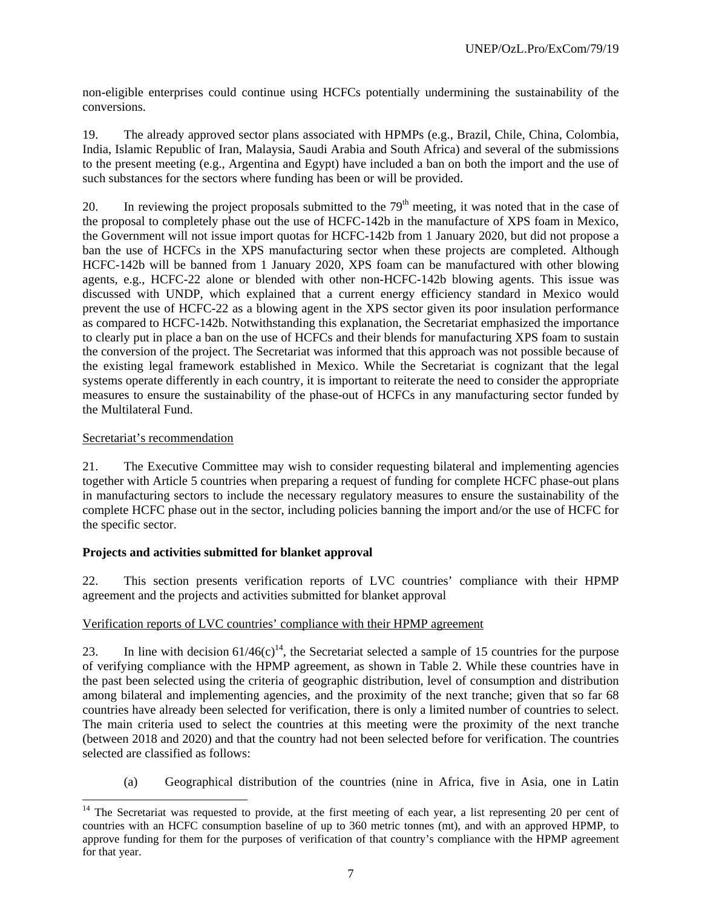non-eligible enterprises could continue using HCFCs potentially undermining the sustainability of the conversions.

19. The already approved sector plans associated with HPMPs (e.g., Brazil, Chile, China, Colombia, India, Islamic Republic of Iran, Malaysia, Saudi Arabia and South Africa) and several of the submissions to the present meeting (e.g., Argentina and Egypt) have included a ban on both the import and the use of such substances for the sectors where funding has been or will be provided.

20. In reviewing the project proposals submitted to the  $79<sup>th</sup>$  meeting, it was noted that in the case of the proposal to completely phase out the use of HCFC-142b in the manufacture of XPS foam in Mexico, the Government will not issue import quotas for HCFC-142b from 1 January 2020, but did not propose a ban the use of HCFCs in the XPS manufacturing sector when these projects are completed. Although HCFC-142b will be banned from 1 January 2020, XPS foam can be manufactured with other blowing agents, e.g., HCFC-22 alone or blended with other non-HCFC-142b blowing agents. This issue was discussed with UNDP, which explained that a current energy efficiency standard in Mexico would prevent the use of HCFC-22 as a blowing agent in the XPS sector given its poor insulation performance as compared to HCFC-142b. Notwithstanding this explanation, the Secretariat emphasized the importance to clearly put in place a ban on the use of HCFCs and their blends for manufacturing XPS foam to sustain the conversion of the project. The Secretariat was informed that this approach was not possible because of the existing legal framework established in Mexico. While the Secretariat is cognizant that the legal systems operate differently in each country, it is important to reiterate the need to consider the appropriate measures to ensure the sustainability of the phase-out of HCFCs in any manufacturing sector funded by the Multilateral Fund.

### Secretariat's recommendation

21. The Executive Committee may wish to consider requesting bilateral and implementing agencies together with Article 5 countries when preparing a request of funding for complete HCFC phase-out plans in manufacturing sectors to include the necessary regulatory measures to ensure the sustainability of the complete HCFC phase out in the sector, including policies banning the import and/or the use of HCFC for the specific sector.

## **Projects and activities submitted for blanket approval**

22. This section presents verification reports of LVC countries' compliance with their HPMP agreement and the projects and activities submitted for blanket approval

## Verification reports of LVC countries' compliance with their HPMP agreement

23. In line with decision  $61/46(c)^{14}$ , the Secretariat selected a sample of 15 countries for the purpose of verifying compliance with the HPMP agreement, as shown in Table 2. While these countries have in the past been selected using the criteria of geographic distribution, level of consumption and distribution among bilateral and implementing agencies, and the proximity of the next tranche; given that so far 68 countries have already been selected for verification, there is only a limited number of countries to select. The main criteria used to select the countries at this meeting were the proximity of the next tranche (between 2018 and 2020) and that the country had not been selected before for verification. The countries selected are classified as follows:

(a) Geographical distribution of the countries (nine in Africa, five in Asia, one in Latin

<sup>-</sup> $14$  The Secretariat was requested to provide, at the first meeting of each year, a list representing 20 per cent of countries with an HCFC consumption baseline of up to 360 metric tonnes (mt), and with an approved HPMP, to approve funding for them for the purposes of verification of that country's compliance with the HPMP agreement for that year.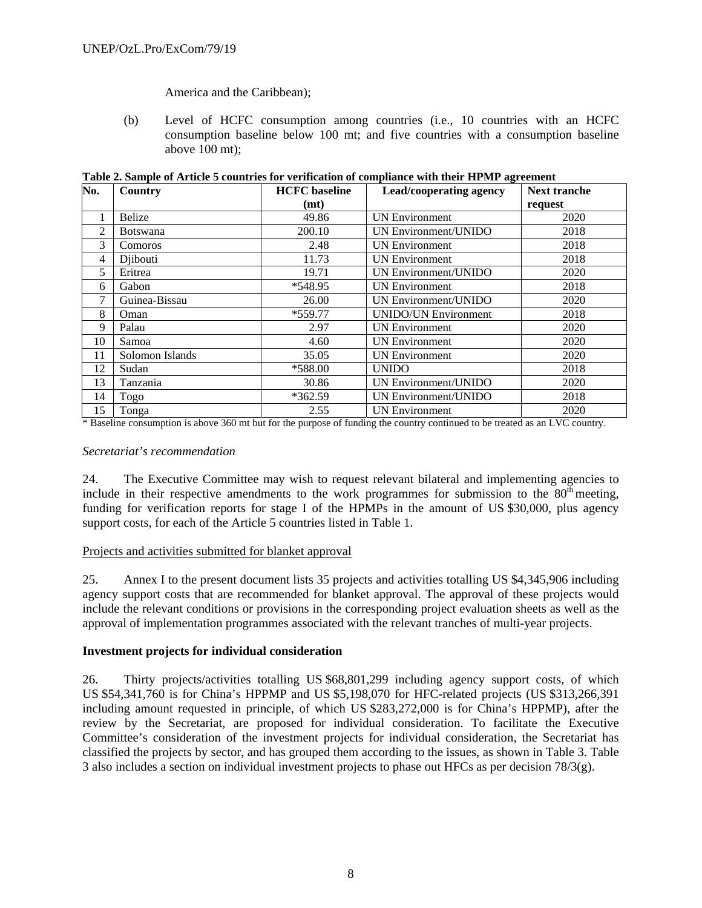### America and the Caribbean);

(b) Level of HCFC consumption among countries (i.e., 10 countries with an HCFC consumption baseline below 100 mt; and five countries with a consumption baseline above 100 mt);

| No. | Country         | <b>HCFC</b> baseline | Lead/cooperating agency     | <b>Next tranche</b> |
|-----|-----------------|----------------------|-----------------------------|---------------------|
|     |                 | (mt)                 |                             | request             |
|     | <b>Belize</b>   | 49.86                | <b>UN Environment</b>       | 2020                |
| 2   | <b>Botswana</b> | 200.10               | UN Environment/UNIDO        | 2018                |
| 3   | Comoros         | 2.48                 | <b>UN Environment</b>       | 2018                |
| 4   | Diibouti        | 11.73                | <b>UN Environment</b>       | 2018                |
| 5   | Eritrea         | 19.71                | UN Environment/UNIDO        | 2020                |
| 6   | Gabon           | *548.95              | <b>UN Environment</b>       | 2018                |
| 7   | Guinea-Bissau   | 26.00                | UN Environment/UNIDO        | 2020                |
| 8   | Oman            | $*559.77$            | <b>UNIDO/UN Environment</b> | 2018                |
| 9   | Palau           | 2.97                 | <b>UN Environment</b>       | 2020                |
| 10  | Samoa           | 4.60                 | <b>UN Environment</b>       | 2020                |
| 11  | Solomon Islands | 35.05                | <b>UN Environment</b>       | 2020                |
| 12  | Sudan           | *588.00              | <b>UNIDO</b>                | 2018                |
| 13  | Tanzania        | 30.86                | <b>UN Environment/UNIDO</b> | 2020                |
| 14  | Togo            | $*362.59$            | UN Environment/UNIDO        | 2018                |
| 15  | Tonga           | 2.55                 | <b>UN Environment</b>       | 2020                |

**Table 2. Sample of Article 5 countries for verification of compliance with their HPMP agreement** 

\* Baseline consumption is above 360 mt but for the purpose of funding the country continued to be treated as an LVC country.

#### *Secretariat's recommendation*

24. The Executive Committee may wish to request relevant bilateral and implementing agencies to include in their respective amendments to the work programmes for submission to the  $80<sup>th</sup>$  meeting. funding for verification reports for stage I of the HPMPs in the amount of US \$30,000, plus agency support costs, for each of the Article 5 countries listed in Table 1.

### Projects and activities submitted for blanket approval

25. Annex I to the present document lists 35 projects and activities totalling US \$4,345,906 including agency support costs that are recommended for blanket approval. The approval of these projects would include the relevant conditions or provisions in the corresponding project evaluation sheets as well as the approval of implementation programmes associated with the relevant tranches of multi-year projects.

### **Investment projects for individual consideration**

26. Thirty projects/activities totalling US \$68,801,299 including agency support costs, of which US \$54,341,760 is for China's HPPMP and US \$5,198,070 for HFC-related projects (US \$313,266,391 including amount requested in principle, of which US \$283,272,000 is for China's HPPMP), after the review by the Secretariat, are proposed for individual consideration. To facilitate the Executive Committee's consideration of the investment projects for individual consideration, the Secretariat has classified the projects by sector, and has grouped them according to the issues, as shown in Table 3. Table 3 also includes a section on individual investment projects to phase out HFCs as per decision 78/3(g).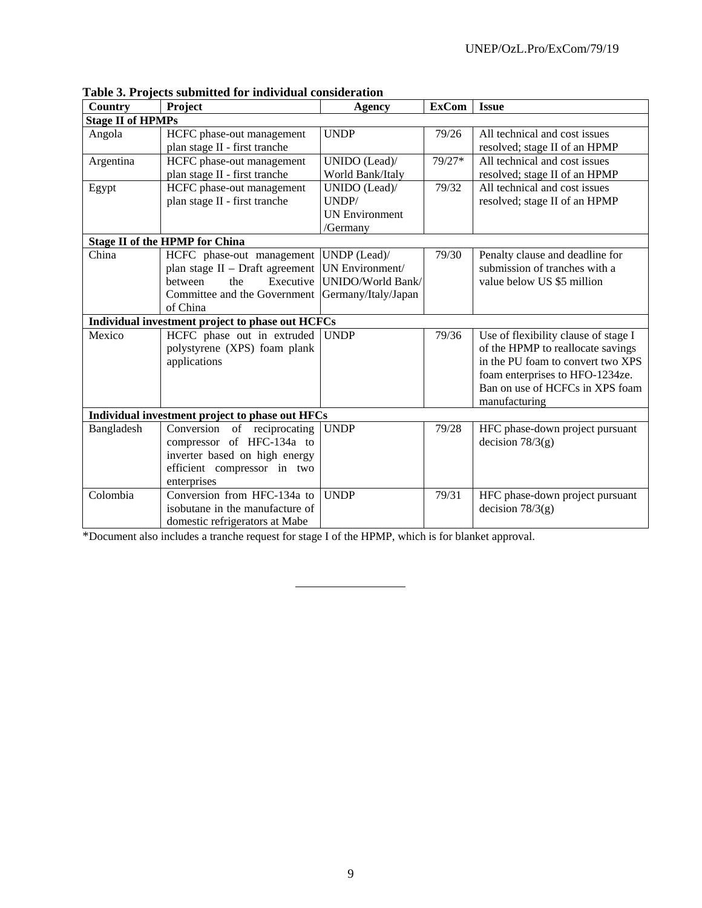| Country                  | Project                                                    | <b>Agency</b>         | <b>ExCom</b> | <b>Issue</b>                                                   |
|--------------------------|------------------------------------------------------------|-----------------------|--------------|----------------------------------------------------------------|
| <b>Stage II of HPMPs</b> |                                                            |                       |              |                                                                |
| Angola                   | HCFC phase-out management<br>plan stage II - first tranche | <b>UNDP</b>           | 79/26        | All technical and cost issues<br>resolved; stage II of an HPMP |
| Argentina                | HCFC phase-out management                                  | UNIDO (Lead)/         | 79/27*       | All technical and cost issues                                  |
|                          | plan stage II - first tranche                              | World Bank/Italy      |              | resolved; stage II of an HPMP                                  |
| Egypt                    | HCFC phase-out management                                  | UNIDO (Lead)/         | 79/32        | All technical and cost issues                                  |
|                          | plan stage II - first tranche                              | UNDP/                 |              | resolved; stage II of an HPMP                                  |
|                          |                                                            | <b>UN Environment</b> |              |                                                                |
|                          |                                                            | /Germany              |              |                                                                |
|                          | <b>Stage II of the HPMP for China</b>                      |                       |              |                                                                |
| China                    | HCFC phase-out management                                  | UNDP (Lead)/          | 79/30        | Penalty clause and deadline for                                |
|                          | plan stage II - Draft agreement                            | UN Environment/       |              | submission of tranches with a                                  |
|                          | Executive<br>the<br>between                                | UNIDO/World Bank/     |              | value below US \$5 million                                     |
|                          | Committee and the Government                               | Germany/Italy/Japan   |              |                                                                |
|                          | of China                                                   |                       |              |                                                                |
|                          | Individual investment project to phase out HCFCs           |                       |              |                                                                |
| Mexico                   | HCFC phase out in extruded                                 | <b>UNDP</b>           | 79/36        | Use of flexibility clause of stage I                           |
|                          | polystyrene (XPS) foam plank                               |                       |              | of the HPMP to reallocate savings                              |
|                          | applications                                               |                       |              | in the PU foam to convert two XPS                              |
|                          |                                                            |                       |              | foam enterprises to HFO-1234ze.                                |
|                          |                                                            |                       |              | Ban on use of HCFCs in XPS foam                                |
|                          |                                                            |                       |              | manufacturing                                                  |
|                          | Individual investment project to phase out HFCs            |                       |              |                                                                |
| Bangladesh               | Conversion of reciprocating                                | <b>UNDP</b>           | 79/28        | HFC phase-down project pursuant                                |
|                          | compressor of HFC-134a to                                  |                       |              | decision $78/3(g)$                                             |
|                          | inverter based on high energy                              |                       |              |                                                                |
|                          | efficient compressor in two                                |                       |              |                                                                |
|                          | enterprises                                                |                       |              |                                                                |
| Colombia                 | Conversion from HFC-134a to                                | <b>UNDP</b>           | 79/31        | HFC phase-down project pursuant                                |
|                          | isobutane in the manufacture of                            |                       |              | decision $78/3(g)$                                             |
|                          | domestic refrigerators at Mabe                             |                       |              |                                                                |

**Table 3. Projects submitted for individual consideration** 

\*Document also includes a tranche request for stage I of the HPMP, which is for blanket approval.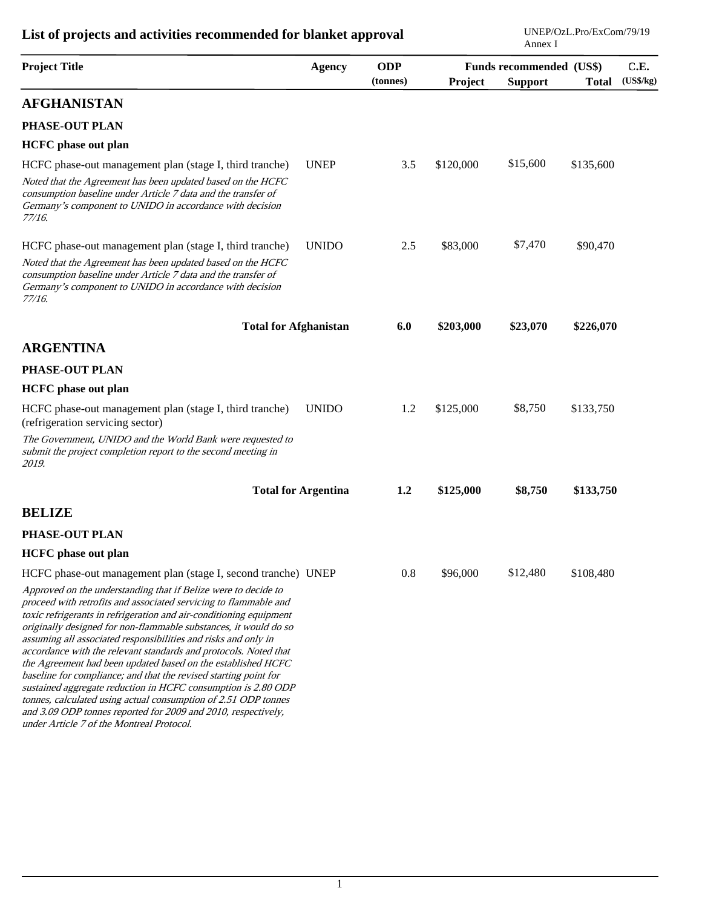| <b>Project Title</b>                                                                                                                                                                                                                                                                                                                                                                                                                                                                                                                                                                                                                                                                                                                                                                                    | <b>Agency</b>              | <b>ODP</b> |           | Funds recommended (US\$) | C.E.         |           |
|---------------------------------------------------------------------------------------------------------------------------------------------------------------------------------------------------------------------------------------------------------------------------------------------------------------------------------------------------------------------------------------------------------------------------------------------------------------------------------------------------------------------------------------------------------------------------------------------------------------------------------------------------------------------------------------------------------------------------------------------------------------------------------------------------------|----------------------------|------------|-----------|--------------------------|--------------|-----------|
|                                                                                                                                                                                                                                                                                                                                                                                                                                                                                                                                                                                                                                                                                                                                                                                                         |                            | (tonnes)   | Project   | <b>Support</b>           | <b>Total</b> | (US\$/kg) |
| <b>AFGHANISTAN</b>                                                                                                                                                                                                                                                                                                                                                                                                                                                                                                                                                                                                                                                                                                                                                                                      |                            |            |           |                          |              |           |
| <b>PHASE-OUT PLAN</b>                                                                                                                                                                                                                                                                                                                                                                                                                                                                                                                                                                                                                                                                                                                                                                                   |                            |            |           |                          |              |           |
| <b>HCFC</b> phase out plan                                                                                                                                                                                                                                                                                                                                                                                                                                                                                                                                                                                                                                                                                                                                                                              |                            |            |           |                          |              |           |
| HCFC phase-out management plan (stage I, third tranche)                                                                                                                                                                                                                                                                                                                                                                                                                                                                                                                                                                                                                                                                                                                                                 | <b>UNEP</b>                | 3.5        | \$120,000 | \$15,600                 | \$135,600    |           |
| Noted that the Agreement has been updated based on the HCFC<br>consumption baseline under Article 7 data and the transfer of<br>Germany's component to UNIDO in accordance with decision<br>77/16.                                                                                                                                                                                                                                                                                                                                                                                                                                                                                                                                                                                                      |                            |            |           |                          |              |           |
| HCFC phase-out management plan (stage I, third tranche)                                                                                                                                                                                                                                                                                                                                                                                                                                                                                                                                                                                                                                                                                                                                                 | <b>UNIDO</b>               | 2.5        | \$83,000  | \$7,470                  | \$90,470     |           |
| Noted that the Agreement has been updated based on the HCFC<br>consumption baseline under Article 7 data and the transfer of<br>Germany's component to UNIDO in accordance with decision<br>77/16.                                                                                                                                                                                                                                                                                                                                                                                                                                                                                                                                                                                                      |                            |            |           |                          |              |           |
| <b>Total for Afghanistan</b>                                                                                                                                                                                                                                                                                                                                                                                                                                                                                                                                                                                                                                                                                                                                                                            |                            | 6.0        | \$203,000 | \$23,070                 | \$226,070    |           |
| <b>ARGENTINA</b>                                                                                                                                                                                                                                                                                                                                                                                                                                                                                                                                                                                                                                                                                                                                                                                        |                            |            |           |                          |              |           |
| <b>PHASE-OUT PLAN</b>                                                                                                                                                                                                                                                                                                                                                                                                                                                                                                                                                                                                                                                                                                                                                                                   |                            |            |           |                          |              |           |
| <b>HCFC</b> phase out plan                                                                                                                                                                                                                                                                                                                                                                                                                                                                                                                                                                                                                                                                                                                                                                              |                            |            |           |                          |              |           |
| HCFC phase-out management plan (stage I, third tranche)<br>(refrigeration servicing sector)                                                                                                                                                                                                                                                                                                                                                                                                                                                                                                                                                                                                                                                                                                             | <b>UNIDO</b>               | 1.2        | \$125,000 | \$8,750                  | \$133,750    |           |
| The Government, UNIDO and the World Bank were requested to<br>submit the project completion report to the second meeting in<br>2019.                                                                                                                                                                                                                                                                                                                                                                                                                                                                                                                                                                                                                                                                    |                            |            |           |                          |              |           |
|                                                                                                                                                                                                                                                                                                                                                                                                                                                                                                                                                                                                                                                                                                                                                                                                         | <b>Total for Argentina</b> | 1.2        | \$125,000 | \$8,750                  | \$133,750    |           |
| <b>BELIZE</b>                                                                                                                                                                                                                                                                                                                                                                                                                                                                                                                                                                                                                                                                                                                                                                                           |                            |            |           |                          |              |           |
| <b>PHASE-OUT PLAN</b>                                                                                                                                                                                                                                                                                                                                                                                                                                                                                                                                                                                                                                                                                                                                                                                   |                            |            |           |                          |              |           |
| <b>HCFC</b> phase out plan                                                                                                                                                                                                                                                                                                                                                                                                                                                                                                                                                                                                                                                                                                                                                                              |                            |            |           |                          |              |           |
| HCFC phase-out management plan (stage I, second tranche) UNEP                                                                                                                                                                                                                                                                                                                                                                                                                                                                                                                                                                                                                                                                                                                                           |                            | 0.8        | \$96,000  | \$12,480                 | \$108,480    |           |
| Approved on the understanding that if Belize were to decide to<br>proceed with retrofits and associated servicing to flammable and<br>toxic refrigerants in refrigeration and air-conditioning equipment<br>originally designed for non-flammable substances, it would do so<br>assuming all associated responsibilities and risks and only in<br>accordance with the relevant standards and protocols. Noted that<br>the Agreement had been updated based on the established HCFC<br>baseline for compliance; and that the revised starting point for<br>sustained aggregate reduction in HCFC consumption is 2.80 ODP<br>tonnes, calculated using actual consumption of 2.51 ODP tonnes<br>and 3.09 ODP tonnes reported for 2009 and 2010, respectively,<br>under Article 7 of the Montreal Protocol. |                            |            |           |                          |              |           |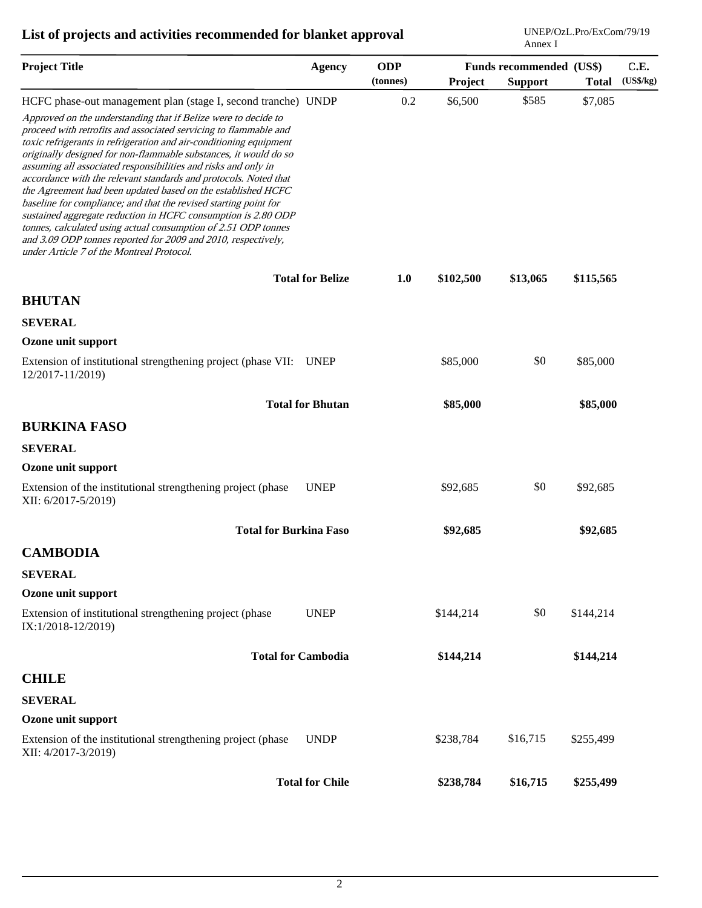| <b>Project Title</b>                                                                                                                                                                                                                                                                                                                                                                                                                                                                                                                                                                                                                                                                                                                                                                                    | <b>Agency</b>             | <b>ODP</b> | Funds recommended (US\$) |                |              | C.E.      |
|---------------------------------------------------------------------------------------------------------------------------------------------------------------------------------------------------------------------------------------------------------------------------------------------------------------------------------------------------------------------------------------------------------------------------------------------------------------------------------------------------------------------------------------------------------------------------------------------------------------------------------------------------------------------------------------------------------------------------------------------------------------------------------------------------------|---------------------------|------------|--------------------------|----------------|--------------|-----------|
|                                                                                                                                                                                                                                                                                                                                                                                                                                                                                                                                                                                                                                                                                                                                                                                                         |                           | (tonnes)   | Project                  | <b>Support</b> | <b>Total</b> | (US\$/kg) |
| HCFC phase-out management plan (stage I, second tranche) UNDP                                                                                                                                                                                                                                                                                                                                                                                                                                                                                                                                                                                                                                                                                                                                           |                           | 0.2        | \$6,500                  | \$585          | \$7,085      |           |
| Approved on the understanding that if Belize were to decide to<br>proceed with retrofits and associated servicing to flammable and<br>toxic refrigerants in refrigeration and air-conditioning equipment<br>originally designed for non-flammable substances, it would do so<br>assuming all associated responsibilities and risks and only in<br>accordance with the relevant standards and protocols. Noted that<br>the Agreement had been updated based on the established HCFC<br>baseline for compliance; and that the revised starting point for<br>sustained aggregate reduction in HCFC consumption is 2.80 ODP<br>tonnes, calculated using actual consumption of 2.51 ODP tonnes<br>and 3.09 ODP tonnes reported for 2009 and 2010, respectively,<br>under Article 7 of the Montreal Protocol. |                           |            |                          |                |              |           |
|                                                                                                                                                                                                                                                                                                                                                                                                                                                                                                                                                                                                                                                                                                                                                                                                         | <b>Total for Belize</b>   | 1.0        | \$102,500                | \$13,065       | \$115,565    |           |
| <b>BHUTAN</b>                                                                                                                                                                                                                                                                                                                                                                                                                                                                                                                                                                                                                                                                                                                                                                                           |                           |            |                          |                |              |           |
| <b>SEVERAL</b>                                                                                                                                                                                                                                                                                                                                                                                                                                                                                                                                                                                                                                                                                                                                                                                          |                           |            |                          |                |              |           |
| Ozone unit support                                                                                                                                                                                                                                                                                                                                                                                                                                                                                                                                                                                                                                                                                                                                                                                      |                           |            |                          |                |              |           |
| Extension of institutional strengthening project (phase VII: UNEP<br>12/2017-11/2019)                                                                                                                                                                                                                                                                                                                                                                                                                                                                                                                                                                                                                                                                                                                   |                           |            | \$85,000                 | \$0            | \$85,000     |           |
|                                                                                                                                                                                                                                                                                                                                                                                                                                                                                                                                                                                                                                                                                                                                                                                                         | <b>Total for Bhutan</b>   |            | \$85,000                 |                | \$85,000     |           |
| <b>BURKINA FASO</b>                                                                                                                                                                                                                                                                                                                                                                                                                                                                                                                                                                                                                                                                                                                                                                                     |                           |            |                          |                |              |           |
| <b>SEVERAL</b>                                                                                                                                                                                                                                                                                                                                                                                                                                                                                                                                                                                                                                                                                                                                                                                          |                           |            |                          |                |              |           |
| Ozone unit support                                                                                                                                                                                                                                                                                                                                                                                                                                                                                                                                                                                                                                                                                                                                                                                      |                           |            |                          |                |              |           |
| Extension of the institutional strengthening project (phase<br>XII: 6/2017-5/2019)                                                                                                                                                                                                                                                                                                                                                                                                                                                                                                                                                                                                                                                                                                                      | <b>UNEP</b>               |            | \$92,685                 | \$0            | \$92,685     |           |
| <b>Total for Burkina Faso</b>                                                                                                                                                                                                                                                                                                                                                                                                                                                                                                                                                                                                                                                                                                                                                                           |                           |            | \$92,685                 |                | \$92,685     |           |
| <b>CAMBODIA</b>                                                                                                                                                                                                                                                                                                                                                                                                                                                                                                                                                                                                                                                                                                                                                                                         |                           |            |                          |                |              |           |
| <b>SEVERAL</b>                                                                                                                                                                                                                                                                                                                                                                                                                                                                                                                                                                                                                                                                                                                                                                                          |                           |            |                          |                |              |           |
| Ozone unit support                                                                                                                                                                                                                                                                                                                                                                                                                                                                                                                                                                                                                                                                                                                                                                                      |                           |            |                          |                |              |           |
| Extension of institutional strengthening project (phase<br>IX:1/2018-12/2019)                                                                                                                                                                                                                                                                                                                                                                                                                                                                                                                                                                                                                                                                                                                           | <b>UNEP</b>               |            | \$144,214                | \$0            | \$144,214    |           |
|                                                                                                                                                                                                                                                                                                                                                                                                                                                                                                                                                                                                                                                                                                                                                                                                         | <b>Total for Cambodia</b> |            | \$144,214                |                | \$144,214    |           |
| <b>CHILE</b>                                                                                                                                                                                                                                                                                                                                                                                                                                                                                                                                                                                                                                                                                                                                                                                            |                           |            |                          |                |              |           |
| <b>SEVERAL</b>                                                                                                                                                                                                                                                                                                                                                                                                                                                                                                                                                                                                                                                                                                                                                                                          |                           |            |                          |                |              |           |
| Ozone unit support                                                                                                                                                                                                                                                                                                                                                                                                                                                                                                                                                                                                                                                                                                                                                                                      |                           |            |                          |                |              |           |
| Extension of the institutional strengthening project (phase<br>XII: 4/2017-3/2019)                                                                                                                                                                                                                                                                                                                                                                                                                                                                                                                                                                                                                                                                                                                      | <b>UNDP</b>               |            | \$238,784                | \$16,715       | \$255,499    |           |
|                                                                                                                                                                                                                                                                                                                                                                                                                                                                                                                                                                                                                                                                                                                                                                                                         | <b>Total for Chile</b>    |            | \$238,784                | \$16,715       | \$255,499    |           |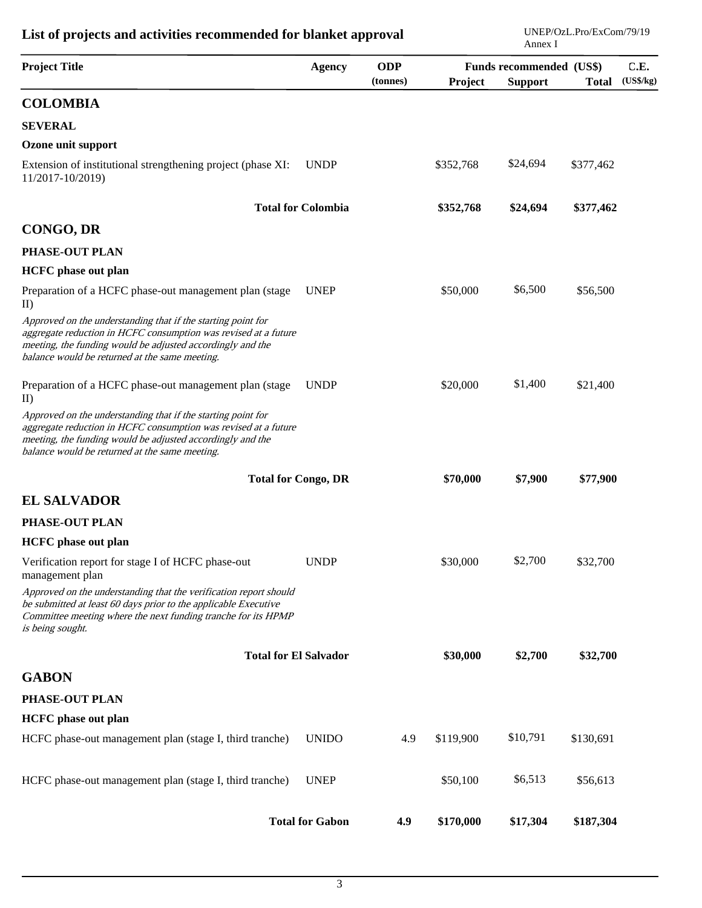| <b>Project Title</b>                                                                                                                                                                                                                            | <b>Agency</b>              | <b>ODP</b><br>(tonnes) | Project   | Funds recommended (US\$)<br><b>Support</b> | <b>Total</b> | C.E.<br>(US\$/kg) |
|-------------------------------------------------------------------------------------------------------------------------------------------------------------------------------------------------------------------------------------------------|----------------------------|------------------------|-----------|--------------------------------------------|--------------|-------------------|
| <b>COLOMBIA</b>                                                                                                                                                                                                                                 |                            |                        |           |                                            |              |                   |
| <b>SEVERAL</b>                                                                                                                                                                                                                                  |                            |                        |           |                                            |              |                   |
| Ozone unit support                                                                                                                                                                                                                              |                            |                        |           |                                            |              |                   |
| Extension of institutional strengthening project (phase XI:<br>11/2017-10/2019)                                                                                                                                                                 | <b>UNDP</b>                |                        | \$352,768 | \$24,694                                   | \$377,462    |                   |
|                                                                                                                                                                                                                                                 | <b>Total for Colombia</b>  |                        | \$352,768 | \$24,694                                   | \$377,462    |                   |
| <b>CONGO, DR</b>                                                                                                                                                                                                                                |                            |                        |           |                                            |              |                   |
| <b>PHASE-OUT PLAN</b>                                                                                                                                                                                                                           |                            |                        |           |                                            |              |                   |
| <b>HCFC</b> phase out plan                                                                                                                                                                                                                      |                            |                        |           |                                            |              |                   |
| Preparation of a HCFC phase-out management plan (stage)<br>$\mathbf{I}$                                                                                                                                                                         | <b>UNEP</b>                |                        | \$50,000  | \$6,500                                    | \$56,500     |                   |
| Approved on the understanding that if the starting point for<br>aggregate reduction in HCFC consumption was revised at a future<br>meeting, the funding would be adjusted accordingly and the<br>balance would be returned at the same meeting. |                            |                        |           |                                            |              |                   |
| Preparation of a HCFC phase-out management plan (stage<br>$_{\text{ID}}$                                                                                                                                                                        | <b>UNDP</b>                |                        | \$20,000  | \$1,400                                    | \$21,400     |                   |
| Approved on the understanding that if the starting point for<br>aggregate reduction in HCFC consumption was revised at a future<br>meeting, the funding would be adjusted accordingly and the<br>balance would be returned at the same meeting. |                            |                        |           |                                            |              |                   |
|                                                                                                                                                                                                                                                 | <b>Total for Congo, DR</b> |                        | \$70,000  | \$7,900                                    | \$77,900     |                   |
| <b>EL SALVADOR</b>                                                                                                                                                                                                                              |                            |                        |           |                                            |              |                   |
| PHASE-OUT PLAN                                                                                                                                                                                                                                  |                            |                        |           |                                            |              |                   |
| <b>HCFC</b> phase out plan                                                                                                                                                                                                                      |                            |                        |           |                                            |              |                   |
| Verification report for stage I of HCFC phase-out<br>management plan                                                                                                                                                                            | <b>UNDP</b>                |                        | \$30,000  | \$2,700                                    | \$32,700     |                   |
| Approved on the understanding that the verification report should<br>be submitted at least 60 days prior to the applicable Executive<br>Committee meeting where the next funding tranche for its HPMP<br>is being sought.                       |                            |                        |           |                                            |              |                   |
| <b>Total for El Salvador</b>                                                                                                                                                                                                                    |                            |                        | \$30,000  | \$2,700                                    | \$32,700     |                   |
| <b>GABON</b>                                                                                                                                                                                                                                    |                            |                        |           |                                            |              |                   |
| PHASE-OUT PLAN                                                                                                                                                                                                                                  |                            |                        |           |                                            |              |                   |
| <b>HCFC</b> phase out plan                                                                                                                                                                                                                      |                            |                        |           |                                            |              |                   |
| HCFC phase-out management plan (stage I, third tranche)                                                                                                                                                                                         | <b>UNIDO</b>               | 4.9                    | \$119,900 | \$10,791                                   | \$130,691    |                   |
| HCFC phase-out management plan (stage I, third tranche)                                                                                                                                                                                         | <b>UNEP</b>                |                        | \$50,100  | \$6,513                                    | \$56,613     |                   |
|                                                                                                                                                                                                                                                 | <b>Total for Gabon</b>     | 4.9                    | \$170,000 | \$17,304                                   | \$187,304    |                   |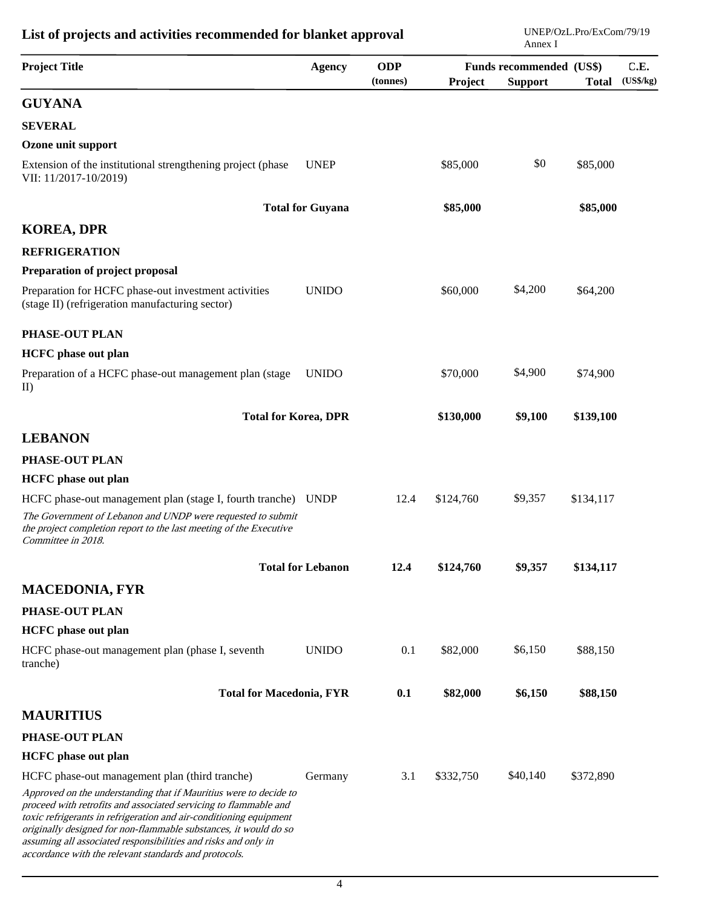| <b>Project Title</b>                                                                                                                                                                                                                                                                                                                                                                                       | <b>Agency</b>            | <b>ODP</b><br>(tonnes) | Project   | Funds recommended (US\$)<br><b>Support</b> | <b>Total</b> | C.E.<br>(US\$/kg) |
|------------------------------------------------------------------------------------------------------------------------------------------------------------------------------------------------------------------------------------------------------------------------------------------------------------------------------------------------------------------------------------------------------------|--------------------------|------------------------|-----------|--------------------------------------------|--------------|-------------------|
| <b>GUYANA</b>                                                                                                                                                                                                                                                                                                                                                                                              |                          |                        |           |                                            |              |                   |
| <b>SEVERAL</b>                                                                                                                                                                                                                                                                                                                                                                                             |                          |                        |           |                                            |              |                   |
| Ozone unit support                                                                                                                                                                                                                                                                                                                                                                                         |                          |                        |           |                                            |              |                   |
| Extension of the institutional strengthening project (phase<br>VII: 11/2017-10/2019)                                                                                                                                                                                                                                                                                                                       | <b>UNEP</b>              |                        | \$85,000  | \$0                                        | \$85,000     |                   |
|                                                                                                                                                                                                                                                                                                                                                                                                            | <b>Total for Guyana</b>  |                        | \$85,000  |                                            | \$85,000     |                   |
| <b>KOREA, DPR</b>                                                                                                                                                                                                                                                                                                                                                                                          |                          |                        |           |                                            |              |                   |
| <b>REFRIGERATION</b>                                                                                                                                                                                                                                                                                                                                                                                       |                          |                        |           |                                            |              |                   |
| Preparation of project proposal                                                                                                                                                                                                                                                                                                                                                                            |                          |                        |           |                                            |              |                   |
| Preparation for HCFC phase-out investment activities<br>(stage II) (refrigeration manufacturing sector)                                                                                                                                                                                                                                                                                                    | <b>UNIDO</b>             |                        | \$60,000  | \$4,200                                    | \$64,200     |                   |
| PHASE-OUT PLAN                                                                                                                                                                                                                                                                                                                                                                                             |                          |                        |           |                                            |              |                   |
| <b>HCFC</b> phase out plan                                                                                                                                                                                                                                                                                                                                                                                 |                          |                        |           |                                            |              |                   |
| Preparation of a HCFC phase-out management plan (stage<br>$\mathbf{I}$                                                                                                                                                                                                                                                                                                                                     | <b>UNIDO</b>             |                        | \$70,000  | \$4,900                                    | \$74,900     |                   |
| <b>Total for Korea, DPR</b>                                                                                                                                                                                                                                                                                                                                                                                |                          |                        | \$130,000 | \$9,100                                    | \$139,100    |                   |
| <b>LEBANON</b>                                                                                                                                                                                                                                                                                                                                                                                             |                          |                        |           |                                            |              |                   |
| PHASE-OUT PLAN                                                                                                                                                                                                                                                                                                                                                                                             |                          |                        |           |                                            |              |                   |
| <b>HCFC</b> phase out plan                                                                                                                                                                                                                                                                                                                                                                                 |                          |                        |           |                                            |              |                   |
| HCFC phase-out management plan (stage I, fourth tranche) UNDP<br>The Government of Lebanon and UNDP were requested to submit<br>the project completion report to the last meeting of the Executive<br>Committee in 2018.                                                                                                                                                                                   |                          | 12.4                   | \$124,760 | \$9,357                                    | \$134,117    |                   |
|                                                                                                                                                                                                                                                                                                                                                                                                            | <b>Total for Lebanon</b> | 12.4                   | \$124,760 | \$9,357                                    | \$134,117    |                   |
| <b>MACEDONIA, FYR</b>                                                                                                                                                                                                                                                                                                                                                                                      |                          |                        |           |                                            |              |                   |
| PHASE-OUT PLAN                                                                                                                                                                                                                                                                                                                                                                                             |                          |                        |           |                                            |              |                   |
| <b>HCFC</b> phase out plan                                                                                                                                                                                                                                                                                                                                                                                 |                          |                        |           |                                            |              |                   |
| HCFC phase-out management plan (phase I, seventh<br>tranche)                                                                                                                                                                                                                                                                                                                                               | <b>UNIDO</b>             | 0.1                    | \$82,000  | \$6,150                                    | \$88,150     |                   |
| <b>Total for Macedonia, FYR</b>                                                                                                                                                                                                                                                                                                                                                                            |                          | 0.1                    | \$82,000  | \$6,150                                    | \$88,150     |                   |
| <b>MAURITIUS</b>                                                                                                                                                                                                                                                                                                                                                                                           |                          |                        |           |                                            |              |                   |
| PHASE-OUT PLAN                                                                                                                                                                                                                                                                                                                                                                                             |                          |                        |           |                                            |              |                   |
| <b>HCFC</b> phase out plan                                                                                                                                                                                                                                                                                                                                                                                 |                          |                        |           |                                            |              |                   |
| HCFC phase-out management plan (third tranche)                                                                                                                                                                                                                                                                                                                                                             | Germany                  | 3.1                    | \$332,750 | \$40,140                                   | \$372,890    |                   |
| Approved on the understanding that if Mauritius were to decide to<br>proceed with retrofits and associated servicing to flammable and<br>toxic refrigerants in refrigeration and air-conditioning equipment<br>originally designed for non-flammable substances, it would do so<br>assuming all associated responsibilities and risks and only in<br>accordance with the relevant standards and protocols. |                          |                        |           |                                            |              |                   |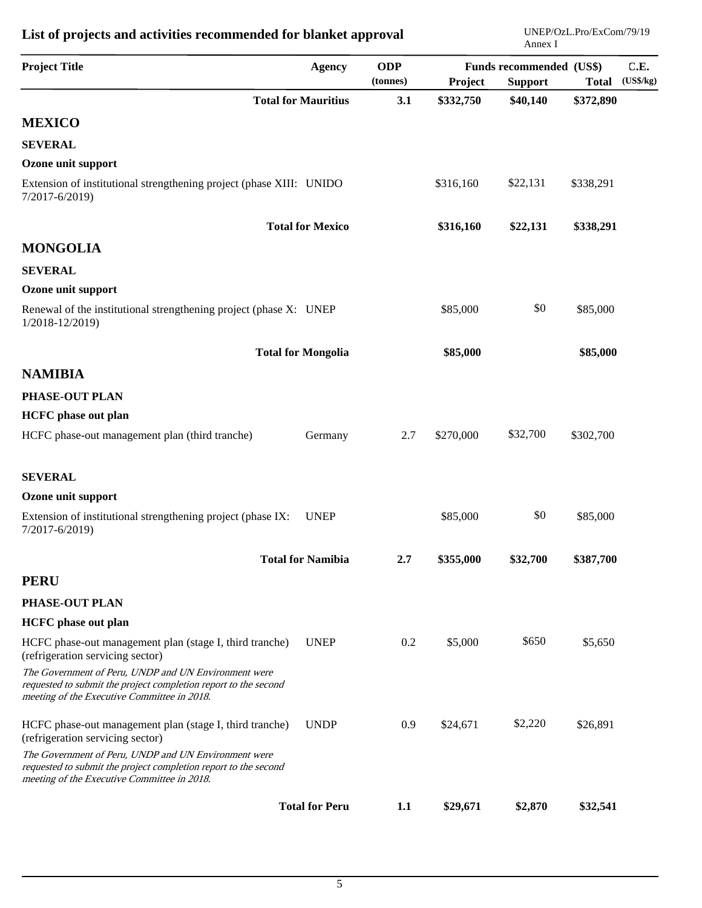| <b>Project Title</b>                                                                                                                                                   | <b>Agency</b>              | <b>ODP</b><br>(tonnes) | Project   | Funds recommended (US\$)<br><b>Support</b> | <b>Total</b> | C.E.<br>(US\$/kg) |
|------------------------------------------------------------------------------------------------------------------------------------------------------------------------|----------------------------|------------------------|-----------|--------------------------------------------|--------------|-------------------|
|                                                                                                                                                                        | <b>Total for Mauritius</b> | 3.1                    | \$332,750 | \$40,140                                   | \$372,890    |                   |
| <b>MEXICO</b>                                                                                                                                                          |                            |                        |           |                                            |              |                   |
| <b>SEVERAL</b>                                                                                                                                                         |                            |                        |           |                                            |              |                   |
| Ozone unit support                                                                                                                                                     |                            |                        |           |                                            |              |                   |
| Extension of institutional strengthening project (phase XIII: UNIDO<br>7/2017-6/2019)                                                                                  |                            |                        | \$316,160 | \$22,131                                   | \$338,291    |                   |
|                                                                                                                                                                        | <b>Total for Mexico</b>    |                        | \$316,160 | \$22,131                                   | \$338,291    |                   |
| <b>MONGOLIA</b>                                                                                                                                                        |                            |                        |           |                                            |              |                   |
| <b>SEVERAL</b>                                                                                                                                                         |                            |                        |           |                                            |              |                   |
| Ozone unit support                                                                                                                                                     |                            |                        |           |                                            |              |                   |
| Renewal of the institutional strengthening project (phase X: UNEP<br>1/2018-12/2019)                                                                                   |                            |                        | \$85,000  | \$0                                        | \$85,000     |                   |
|                                                                                                                                                                        | <b>Total for Mongolia</b>  |                        | \$85,000  |                                            | \$85,000     |                   |
| <b>NAMIBIA</b>                                                                                                                                                         |                            |                        |           |                                            |              |                   |
| PHASE-OUT PLAN                                                                                                                                                         |                            |                        |           |                                            |              |                   |
| <b>HCFC</b> phase out plan                                                                                                                                             |                            |                        |           |                                            |              |                   |
| HCFC phase-out management plan (third tranche)                                                                                                                         | Germany                    | 2.7                    | \$270,000 | \$32,700                                   | \$302,700    |                   |
| <b>SEVERAL</b>                                                                                                                                                         |                            |                        |           |                                            |              |                   |
| Ozone unit support                                                                                                                                                     |                            |                        |           |                                            |              |                   |
| Extension of institutional strengthening project (phase IX:<br>7/2017-6/2019)                                                                                          | <b>UNEP</b>                |                        | \$85,000  | \$0                                        | \$85,000     |                   |
|                                                                                                                                                                        | <b>Total for Namibia</b>   | 2.7                    | \$355,000 | \$32,700                                   | \$387,700    |                   |
| <b>PERU</b>                                                                                                                                                            |                            |                        |           |                                            |              |                   |
| PHASE-OUT PLAN                                                                                                                                                         |                            |                        |           |                                            |              |                   |
| <b>HCFC</b> phase out plan                                                                                                                                             |                            |                        |           |                                            |              |                   |
| HCFC phase-out management plan (stage I, third tranche)<br>(refrigeration servicing sector)                                                                            | <b>UNEP</b>                | 0.2                    | \$5,000   | \$650                                      | \$5,650      |                   |
| The Government of Peru, UNDP and UN Environment were<br>requested to submit the project completion report to the second<br>meeting of the Executive Committee in 2018. |                            |                        |           |                                            |              |                   |
| HCFC phase-out management plan (stage I, third tranche)<br>(refrigeration servicing sector)                                                                            | <b>UNDP</b>                | 0.9                    | \$24,671  | \$2,220                                    | \$26,891     |                   |
| The Government of Peru, UNDP and UN Environment were<br>requested to submit the project completion report to the second<br>meeting of the Executive Committee in 2018. |                            |                        |           |                                            |              |                   |
|                                                                                                                                                                        | <b>Total for Peru</b>      | 1.1                    | \$29,671  | \$2,870                                    | \$32,541     |                   |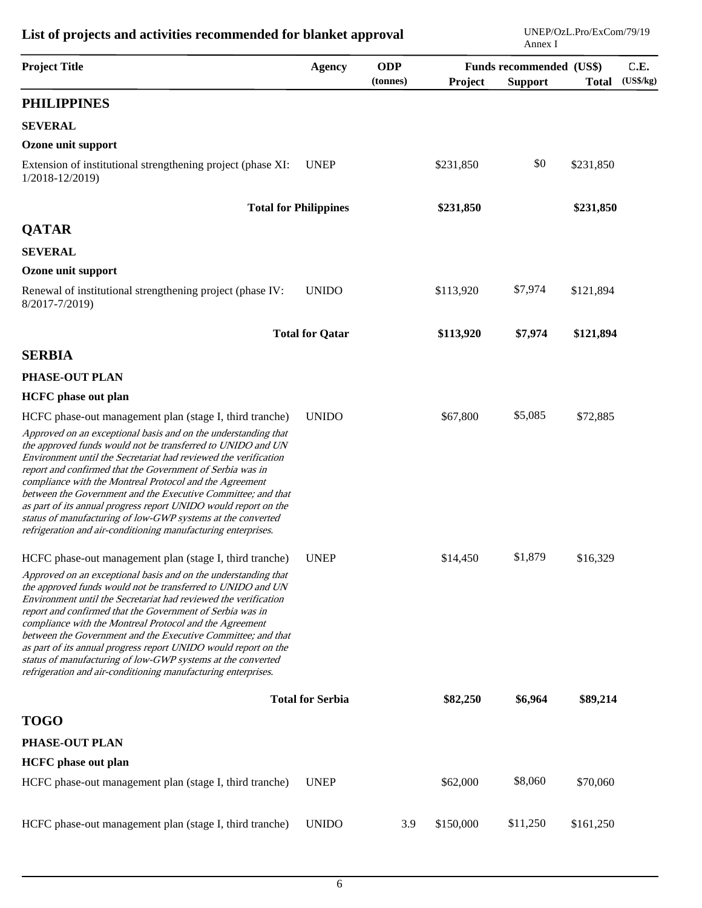| <b>Project Title</b>                                                                                                                                                                                                                                                                                                                                                                                                                                                                                                                                                                        | <b>Agency</b>                | <b>ODP</b><br>(tonnes) | Project   | Funds recommended (US\$)<br><b>Support</b> | <b>Total</b> | C.E.<br>(US\$/kg) |
|---------------------------------------------------------------------------------------------------------------------------------------------------------------------------------------------------------------------------------------------------------------------------------------------------------------------------------------------------------------------------------------------------------------------------------------------------------------------------------------------------------------------------------------------------------------------------------------------|------------------------------|------------------------|-----------|--------------------------------------------|--------------|-------------------|
| <b>PHILIPPINES</b>                                                                                                                                                                                                                                                                                                                                                                                                                                                                                                                                                                          |                              |                        |           |                                            |              |                   |
| <b>SEVERAL</b>                                                                                                                                                                                                                                                                                                                                                                                                                                                                                                                                                                              |                              |                        |           |                                            |              |                   |
| Ozone unit support                                                                                                                                                                                                                                                                                                                                                                                                                                                                                                                                                                          |                              |                        |           |                                            |              |                   |
| Extension of institutional strengthening project (phase XI:<br>1/2018-12/2019)                                                                                                                                                                                                                                                                                                                                                                                                                                                                                                              | <b>UNEP</b>                  |                        | \$231,850 | \$0                                        | \$231,850    |                   |
|                                                                                                                                                                                                                                                                                                                                                                                                                                                                                                                                                                                             | <b>Total for Philippines</b> |                        | \$231,850 |                                            | \$231,850    |                   |
| <b>QATAR</b>                                                                                                                                                                                                                                                                                                                                                                                                                                                                                                                                                                                |                              |                        |           |                                            |              |                   |
| <b>SEVERAL</b>                                                                                                                                                                                                                                                                                                                                                                                                                                                                                                                                                                              |                              |                        |           |                                            |              |                   |
| Ozone unit support                                                                                                                                                                                                                                                                                                                                                                                                                                                                                                                                                                          |                              |                        |           |                                            |              |                   |
| Renewal of institutional strengthening project (phase IV:<br>8/2017-7/2019)                                                                                                                                                                                                                                                                                                                                                                                                                                                                                                                 | <b>UNIDO</b>                 |                        | \$113,920 | \$7,974                                    | \$121,894    |                   |
|                                                                                                                                                                                                                                                                                                                                                                                                                                                                                                                                                                                             | <b>Total for Qatar</b>       |                        | \$113,920 | \$7,974                                    | \$121,894    |                   |
| <b>SERBIA</b>                                                                                                                                                                                                                                                                                                                                                                                                                                                                                                                                                                               |                              |                        |           |                                            |              |                   |
| PHASE-OUT PLAN                                                                                                                                                                                                                                                                                                                                                                                                                                                                                                                                                                              |                              |                        |           |                                            |              |                   |
| <b>HCFC</b> phase out plan                                                                                                                                                                                                                                                                                                                                                                                                                                                                                                                                                                  |                              |                        |           |                                            |              |                   |
| HCFC phase-out management plan (stage I, third tranche)                                                                                                                                                                                                                                                                                                                                                                                                                                                                                                                                     | <b>UNIDO</b>                 |                        | \$67,800  | \$5,085                                    | \$72,885     |                   |
| Approved on an exceptional basis and on the understanding that<br>the approved funds would not be transferred to UNIDO and UN<br>Environment until the Secretariat had reviewed the verification<br>report and confirmed that the Government of Serbia was in<br>compliance with the Montreal Protocol and the Agreement<br>between the Government and the Executive Committee; and that<br>as part of its annual progress report UNIDO would report on the<br>status of manufacturing of low-GWP systems at the converted<br>refrigeration and air-conditioning manufacturing enterprises. |                              |                        |           |                                            |              |                   |
| HCFC phase-out management plan (stage I, third tranche)                                                                                                                                                                                                                                                                                                                                                                                                                                                                                                                                     | <b>UNEP</b>                  |                        | \$14,450  | \$1,879                                    | \$16,329     |                   |
| Approved on an exceptional basis and on the understanding that<br>the approved funds would not be transferred to UNIDO and UN<br>Environment until the Secretariat had reviewed the verification<br>report and confirmed that the Government of Serbia was in<br>compliance with the Montreal Protocol and the Agreement<br>between the Government and the Executive Committee; and that<br>as part of its annual progress report UNIDO would report on the<br>status of manufacturing of low-GWP systems at the converted<br>refrigeration and air-conditioning manufacturing enterprises. |                              |                        |           |                                            |              |                   |
|                                                                                                                                                                                                                                                                                                                                                                                                                                                                                                                                                                                             | <b>Total for Serbia</b>      |                        | \$82,250  | \$6,964                                    | \$89,214     |                   |
| <b>TOGO</b>                                                                                                                                                                                                                                                                                                                                                                                                                                                                                                                                                                                 |                              |                        |           |                                            |              |                   |
| <b>PHASE-OUT PLAN</b>                                                                                                                                                                                                                                                                                                                                                                                                                                                                                                                                                                       |                              |                        |           |                                            |              |                   |
| <b>HCFC</b> phase out plan                                                                                                                                                                                                                                                                                                                                                                                                                                                                                                                                                                  |                              |                        |           |                                            |              |                   |
| HCFC phase-out management plan (stage I, third tranche)                                                                                                                                                                                                                                                                                                                                                                                                                                                                                                                                     | <b>UNEP</b>                  |                        | \$62,000  | \$8,060                                    | \$70,060     |                   |
| HCFC phase-out management plan (stage I, third tranche)                                                                                                                                                                                                                                                                                                                                                                                                                                                                                                                                     | <b>UNIDO</b>                 | 3.9                    | \$150,000 | \$11,250                                   | \$161,250    |                   |